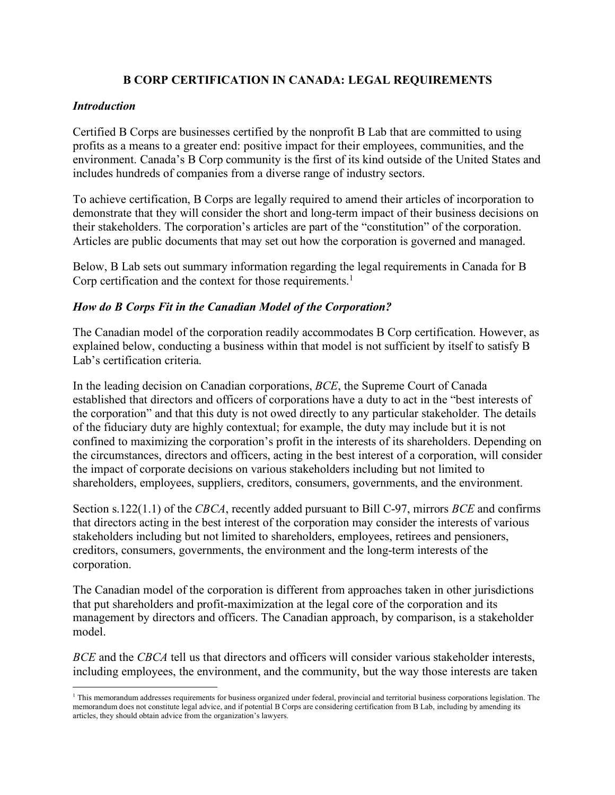# **B CORP CERTIFICATION IN CANADA: LEGAL REQUIREMENTS**

#### *Introduction*

Certified B Corps are businesses certified by the nonprofit B Lab that are committed to using profits as a means to a greater end: positive impact for their employees, communities, and the environment. Canada's B Corp community is the first of its kind outside of the United States and includes hundreds of companies from a diverse range of industry sectors.

To achieve certification, B Corps are legally required to amend their articles of incorporation to demonstrate that they will consider the short and long-term impact of their business decisions on their stakeholders. The corporation's articles are part of the "constitution" of the corporation. Articles are public documents that may set out how the corporation is governed and managed.

Below, B Lab sets out summary information regarding the legal requirements in Canada for B Corp certification and the context for those requirements.<sup>1</sup>

### *How do B Corps Fit in the Canadian Model of the Corporation?*

The Canadian model of the corporation readily accommodates B Corp certification. However, as explained below, conducting a business within that model is not sufficient by itself to satisfy B Lab's certification criteria.

In the leading decision on Canadian corporations, *BCE*, the Supreme Court of Canada established that directors and officers of corporations have a duty to act in the "best interests of the corporation" and that this duty is not owed directly to any particular stakeholder. The details of the fiduciary duty are highly contextual; for example, the duty may include but it is not confined to maximizing the corporation's profit in the interests of its shareholders. Depending on the circumstances, directors and officers, acting in the best interest of a corporation, will consider the impact of corporate decisions on various stakeholders including but not limited to shareholders, employees, suppliers, creditors, consumers, governments, and the environment.

Section s.122(1.1) of the *CBCA*, recently added pursuant to Bill C-97, mirrors *BCE* and confirms that directors acting in the best interest of the corporation may consider the interests of various stakeholders including but not limited to shareholders, employees, retirees and pensioners, creditors, consumers, governments, the environment and the long-term interests of the corporation.

The Canadian model of the corporation is different from approaches taken in other jurisdictions that put shareholders and profit-maximization at the legal core of the corporation and its management by directors and officers. The Canadian approach, by comparison, is a stakeholder model.

*BCE* and the *CBCA* tell us that directors and officers will consider various stakeholder interests, including employees, the environment, and the community, but the way those interests are taken

 $1$  This memorandum addresses requirements for business organized under federal, provincial and territorial business corporations legislation. The memorandum does not constitute legal advice, and if potential B Corps are considering certification from B Lab, including by amending its articles, they should obtain advice from the organization's lawyers.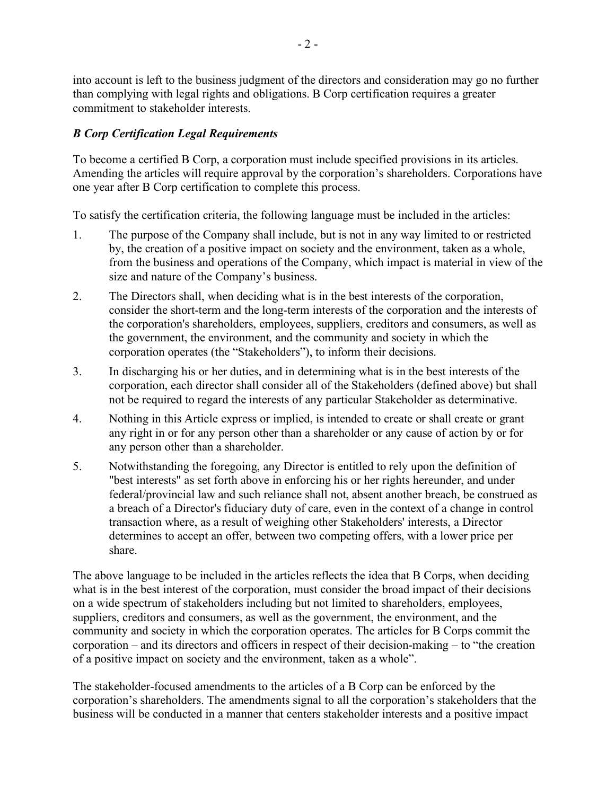into account is left to the business judgment of the directors and consideration may go no further than complying with legal rights and obligations. B Corp certification requires a greater commitment to stakeholder interests.

# *B Corp Certification Legal Requirements*

To become a certified B Corp, a corporation must include specified provisions in its articles. Amending the articles will require approval by the corporation's shareholders. Corporations have one year after B Corp certification to complete this process.

To satisfy the certification criteria, the following language must be included in the articles:

- 1. The purpose of the Company shall include, but is not in any way limited to or restricted by, the creation of a positive impact on society and the environment, taken as a whole, from the business and operations of the Company, which impact is material in view of the size and nature of the Company's business.
- 2. The Directors shall, when deciding what is in the best interests of the corporation, consider the short-term and the long-term interests of the corporation and the interests of the corporation's shareholders, employees, suppliers, creditors and consumers, as well as the government, the environment, and the community and society in which the corporation operates (the "Stakeholders"), to inform their decisions.
- 3. In discharging his or her duties, and in determining what is in the best interests of the corporation, each director shall consider all of the Stakeholders (defined above) but shall not be required to regard the interests of any particular Stakeholder as determinative.
- 4. Nothing in this Article express or implied, is intended to create or shall create or grant any right in or for any person other than a shareholder or any cause of action by or for any person other than a shareholder.
- 5. Notwithstanding the foregoing, any Director is entitled to rely upon the definition of "best interests" as set forth above in enforcing his or her rights hereunder, and under federal/provincial law and such reliance shall not, absent another breach, be construed as a breach of a Director's fiduciary duty of care, even in the context of a change in control transaction where, as a result of weighing other Stakeholders' interests, a Director determines to accept an offer, between two competing offers, with a lower price per share.

The above language to be included in the articles reflects the idea that B Corps, when deciding what is in the best interest of the corporation, must consider the broad impact of their decisions on a wide spectrum of stakeholders including but not limited to shareholders, employees, suppliers, creditors and consumers, as well as the government, the environment, and the community and society in which the corporation operates. The articles for B Corps commit the corporation – and its directors and officers in respect of their decision-making – to "the creation of a positive impact on society and the environment, taken as a whole".

The stakeholder-focused amendments to the articles of a B Corp can be enforced by the corporation's shareholders. The amendments signal to all the corporation's stakeholders that the business will be conducted in a manner that centers stakeholder interests and a positive impact